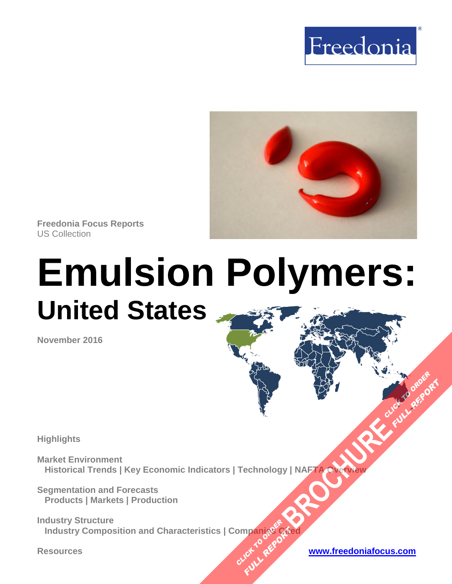



**Freedonia Focus Reports** US Collection

# **Emulsion Polymers: United States**

**November 2016**

**Highlights**

**Market Environment Historical Trends | Key Economic Indicators | Technology | NAFTA Overview [BROCHURE](http://www.freedoniagroup.com/FocusDetails.aspx?ReferrerId=FM-FocusBro&ReportID=FF55041) ACCESSIBLE PROPERTY OF PROPERTY** 

**Segmentation and Forecasts Products | Markets | Production**

**Industry Structure Industry Composition and Characteristics | Companies Cited OMPanjages Plance City** 

**Resources [www.freedoniafocus.com](http://www.freedoniagroup.com/FocusReports.aspx?ReferrerId=FM-FocusBro)**

**FULL REPORT**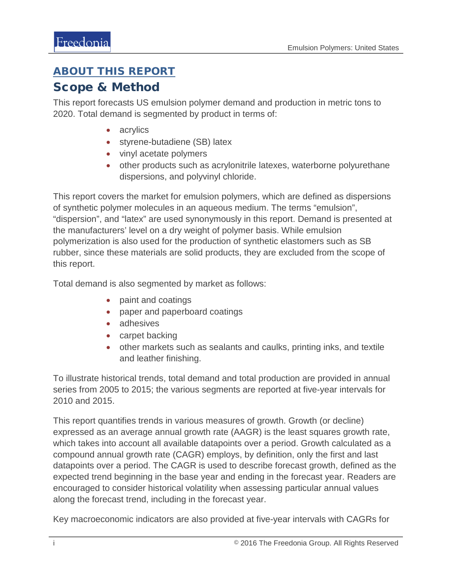## <span id="page-1-0"></span>ABOUT THIS REPORT

## Scope & Method

This report forecasts US emulsion polymer demand and production in metric tons to 2020. Total demand is segmented by product in terms of:

- acrylics
- styrene-butadiene (SB) latex
- vinyl acetate polymers
- other products such as acrylonitrile latexes, waterborne polyurethane dispersions, and polyvinyl chloride.

This report covers the market for emulsion polymers, which are defined as dispersions of synthetic polymer molecules in an aqueous medium. The terms "emulsion", "dispersion", and "latex" are used synonymously in this report. Demand is presented at the manufacturers' level on a dry weight of polymer basis. While emulsion polymerization is also used for the production of synthetic elastomers such as SB rubber, since these materials are solid products, they are excluded from the scope of this report.

Total demand is also segmented by market as follows:

- paint and coatings
- paper and paperboard coatings
- adhesives
- carpet backing
- other markets such as sealants and caulks, printing inks, and textile and leather finishing.

To illustrate historical trends, total demand and total production are provided in annual series from 2005 to 2015; the various segments are reported at five-year intervals for 2010 and 2015.

This report quantifies trends in various measures of growth. Growth (or decline) expressed as an average annual growth rate (AAGR) is the least squares growth rate, which takes into account all available datapoints over a period. Growth calculated as a compound annual growth rate (CAGR) employs, by definition, only the first and last datapoints over a period. The CAGR is used to describe forecast growth, defined as the expected trend beginning in the base year and ending in the forecast year. Readers are encouraged to consider historical volatility when assessing particular annual values along the forecast trend, including in the forecast year.

Key macroeconomic indicators are also provided at five-year intervals with CAGRs for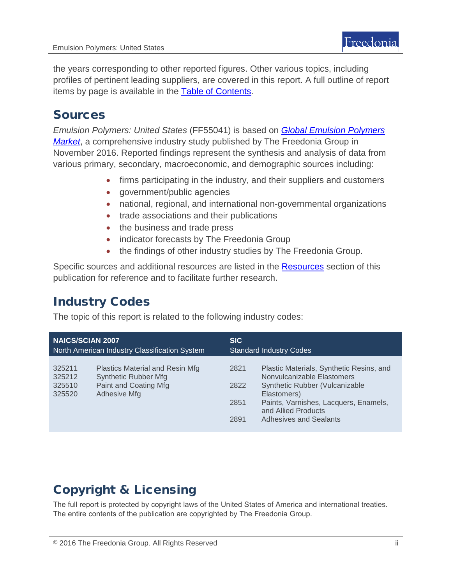the years corresponding to other reported figures. Other various topics, including profiles of pertinent leading suppliers, are covered in this report. A full outline of report items by page is available in the [Table of Contents.](#page-3-0)

## Sources

*Emulsion Polymers: United States* (FF55041) is based on *[Global Emulsion Polymers](http://www.freedoniagroup.com/DocumentDetails.aspx?ReferrerId=FL-FOCUS&studyid=3461)  [Market](http://www.freedoniagroup.com/DocumentDetails.aspx?ReferrerId=FL-FOCUS&studyid=3461)*, a comprehensive industry study published by The Freedonia Group in November 2016. Reported findings represent the synthesis and analysis of data from various primary, secondary, macroeconomic, and demographic sources including:

- firms participating in the industry, and their suppliers and customers
- government/public agencies
- national, regional, and international non-governmental organizations
- trade associations and their publications
- the business and trade press
- indicator forecasts by The Freedonia Group
- the findings of other industry studies by The Freedonia Group.

Specific sources and additional resources are listed in the **Resources** section of this publication for reference and to facilitate further research.

# Industry Codes

The topic of this report is related to the following industry codes:

| <b>NAICS/SCIAN 2007</b>                       |                                                                                                         | <b>SIC</b>                     |                                                                                                                                                                                                                   |
|-----------------------------------------------|---------------------------------------------------------------------------------------------------------|--------------------------------|-------------------------------------------------------------------------------------------------------------------------------------------------------------------------------------------------------------------|
| North American Industry Classification System |                                                                                                         | <b>Standard Industry Codes</b> |                                                                                                                                                                                                                   |
| 325211<br>325212<br>325510<br>325520          | Plastics Material and Resin Mfg<br><b>Synthetic Rubber Mfg</b><br>Paint and Coating Mfg<br>Adhesive Mfg | 2821<br>2822<br>2851<br>2891   | Plastic Materials, Synthetic Resins, and<br>Nonvulcanizable Elastomers<br>Synthetic Rubber (Vulcanizable<br>Elastomers)<br>Paints, Varnishes, Lacquers, Enamels,<br>and Allied Products<br>Adhesives and Sealants |

# Copyright & Licensing

The full report is protected by copyright laws of the United States of America and international treaties. The entire contents of the publication are copyrighted by The Freedonia Group.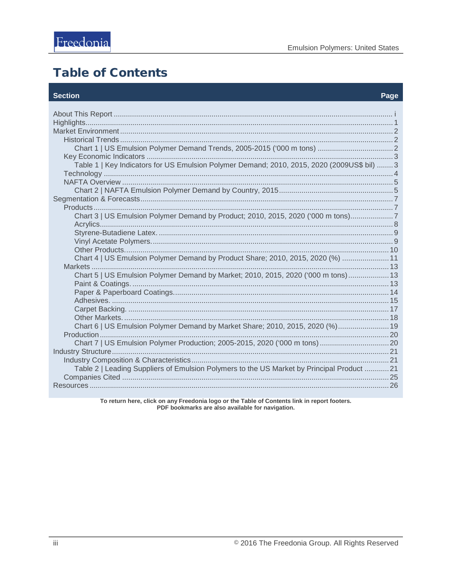# <span id="page-3-0"></span>**Table of Contents**

#### **Section**

#### Page

| Table 1   Key Indicators for US Emulsion Polymer Demand; 2010, 2015, 2020 (2009US\$ bil)  3 |  |
|---------------------------------------------------------------------------------------------|--|
|                                                                                             |  |
| Chart 3   US Emulsion Polymer Demand by Product; 2010, 2015, 2020 ('000 m tons)7            |  |
| Chart 4   US Emulsion Polymer Demand by Product Share; 2010, 2015, 2020 (%)  11             |  |
| Chart 5   US Emulsion Polymer Demand by Market; 2010, 2015, 2020 ('000 m tons)  13          |  |
| Chart 6   US Emulsion Polymer Demand by Market Share; 2010, 2015, 2020 (%) 19               |  |
|                                                                                             |  |
| Table 2   Leading Suppliers of Emulsion Polymers to the US Market by Principal Product  21  |  |
|                                                                                             |  |

To return here, click on any Freedonia logo or the Table of Contents link in report footers.<br>PDF bookmarks are also available for navigation.